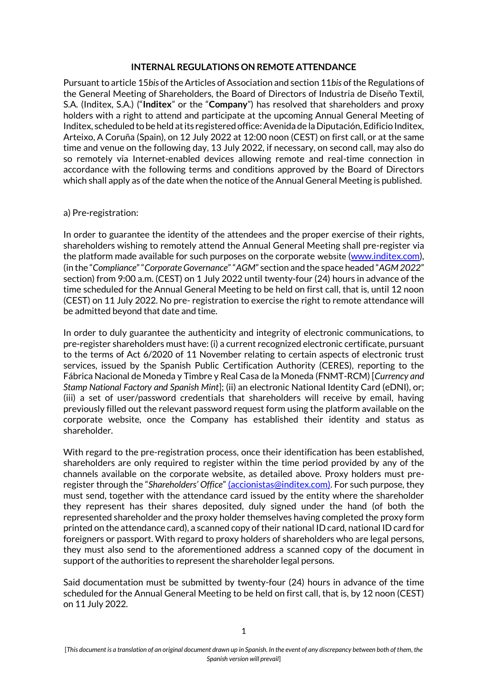# **INTERNAL REGULATIONS ON REMOTE ATTENDANCE**

Pursuant to article 15*bis* of the Articles of Association and section 11*bis* of the Regulations of the General Meeting of Shareholders, the Board of Directors of Industria de Diseño Textil, S.A. (Inditex, S.A.) ("**Inditex**" or the "**Company**") has resolved that shareholders and proxy holders with a right to attend and participate at the upcoming Annual General Meeting of Inditex, scheduled to be held at its registered office: Avenida de la Diputación, Edificio Inditex, Arteixo, A Coruña (Spain), on 12 July 2022 at 12:00 noon (CEST) on first call, or at the same time and venue on the following day, 13 July 2022, if necessary, on second call, may also do so remotely via Internet-enabled devices allowing remote and real-time connection in accordance with the following terms and conditions approved by the Board of Directors which shall apply as of the date when the notice of the Annual General Meeting is published.

## a) Pre-registration:

In order to guarantee the identity of the attendees and the proper exercise of their rights, shareholders wishing to remotely attend the Annual General Meeting shall pre-register via the platform made available for such purposes on the corporate website [\(www.inditex.com\)](http://www.inditex.com/), (in the "*Compliance*" "*Corporate Governance*" "*AGM*" section and the space headed "*AGM 2022*" section) from 9:00 a.m. (CEST) on 1 July 2022 until twenty-four (24) hours in advance of the time scheduled for the Annual General Meeting to be held on first call, that is, until 12 noon (CEST) on 11 July 2022. No pre- registration to exercise the right to remote attendance will be admitted beyond that date and time.

In order to duly guarantee the authenticity and integrity of electronic communications, to pre-register shareholders must have: (i) a current recognized electronic certificate, pursuant to the terms of Act 6/2020 of 11 November relating to certain aspects of electronic trust services, issued by the Spanish Public Certification Authority (CERES), reporting to the Fábrica Nacional de Moneda y Timbre y Real Casa de la Moneda (FNMT-RCM) [*Currency and Stamp National Factory and Spanish Mint*]; (ii) an electronic National Identity Card (eDNI), or; (iii) a set of user/password credentials that shareholders will receive by email, having previously filled out the relevant password request form using the platform available on the corporate website, once the Company has established their identity and status as shareholder.

With regard to the pre-registration process, once their identification has been established, shareholders are only required to register within the time period provided by any of the channels available on the corporate website, as detailed above. Proxy holders must preregister through the "*Shareholders' Office*" [\(accionistas@inditex.com\)](mailto:accionistas@inditex.com). For such purpose, they must send, together with the attendance card issued by the entity where the shareholder they represent has their shares deposited, duly signed under the hand (of both the represented shareholder and the proxy holder themselves having completed the proxy form printed on the attendance card), a scanned copy of their national ID card, national ID card for foreigners or passport. With regard to proxy holders of shareholders who are legal persons, they must also send to the aforementioned address a scanned copy of the document in support of the authorities to represent the shareholder legal persons.

Said documentation must be submitted by twenty-four (24) hours in advance of the time scheduled for the Annual General Meeting to be held on first call, that is, by 12 noon (CEST) on 11 July 2022.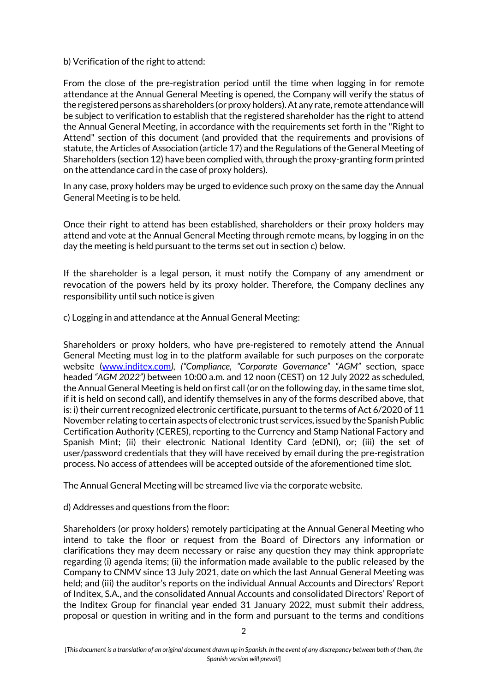# b) Verification of the right to attend:

From the close of the pre-registration period until the time when logging in for remote attendance at the Annual General Meeting is opened, the Company will verify the status of the registered persons as shareholders (or proxy holders). At any rate, remote attendance will be subject to verification to establish that the registered shareholder has the right to attend the Annual General Meeting, in accordance with the requirements set forth in the "Right to Attend" section of this document (and provided that the requirements and provisions of statute, the Articles of Association (article 17) and the Regulations of the General Meeting of Shareholders (section 12) have been complied with, through the proxy-granting form printed on the attendance card in the case of proxy holders).

In any case, proxy holders may be urged to evidence such proxy on the same day the Annual General Meeting is to be held.

Once their right to attend has been established, shareholders or their proxy holders may attend and vote at the Annual General Meeting through remote means, by logging in on the day the meeting is held pursuant to the terms set out in section c) below.

If the shareholder is a legal person, it must notify the Company of any amendment or revocation of the powers held by its proxy holder. Therefore, the Company declines any responsibility until such notice is given

c) Logging in and attendance at the Annual General Meeting:

Shareholders or proxy holders, who have pre-registered to remotely attend the Annual General Meeting must log in to the platform available for such purposes on the corporate website [\(www.inditex.com](http://www.inditex.com/)*), ("Compliance, "Corporate Governance" "AGM"* section, space headed *"AGM 2022")* between 10:00 a.m. and 12 noon (CEST) on 12 July 2022 as scheduled, the Annual General Meeting is held on first call (or on the following day, in the same time slot, if it is held on second call), and identify themselves in any of the forms described above, that is: i) their current recognized electronic certificate, pursuant to the terms of Act 6/2020 of 11 November relating to certain aspects of electronic trust services, issued by the Spanish Public Certification Authority (CERES), reporting to the Currency and Stamp National Factory and Spanish Mint; (ii) their electronic National Identity Card (eDNI), or; (iii) the set of user/password credentials that they will have received by email during the pre-registration process. No access of attendees will be accepted outside of the aforementioned time slot.

The Annual General Meeting will be streamed live via the corporate website.

d) Addresses and questions from the floor:

Shareholders (or proxy holders) remotely participating at the Annual General Meeting who intend to take the floor or request from the Board of Directors any information or clarifications they may deem necessary or raise any question they may think appropriate regarding (i) agenda items; (ii) the information made available to the public released by the Company to CNMV since 13 July 2021, date on which the last Annual General Meeting was held; and (iii) the auditor's reports on the individual Annual Accounts and Directors' Report of Inditex, S.A., and the consolidated Annual Accounts and consolidated Directors' Report of the Inditex Group for financial year ended 31 January 2022, must submit their address, proposal or question in writing and in the form and pursuant to the terms and conditions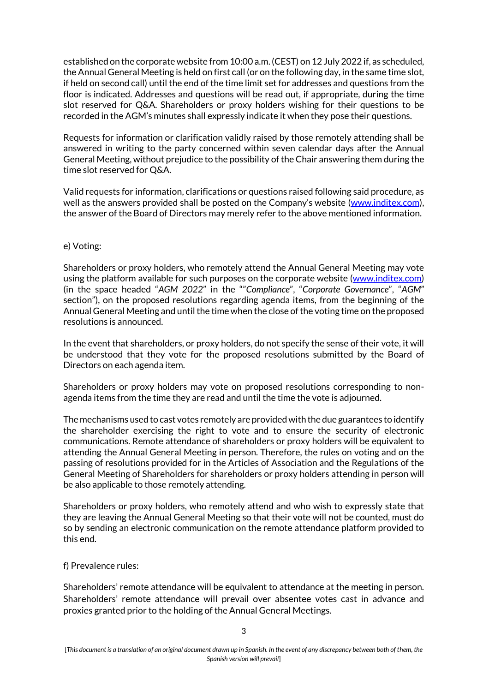established on the corporate website from 10:00 a.m. (CEST) on 12 July 2022 if, as scheduled, the Annual General Meeting is held on first call (or on the following day, in the same time slot, if held on second call) until the end of the time limit set for addresses and questions from the floor is indicated. Addresses and questions will be read out, if appropriate, during the time slot reserved for Q&A. Shareholders or proxy holders wishing for their questions to be recorded in the AGM's minutes shall expressly indicate it when they pose their questions.

Requests for information or clarification validly raised by those remotely attending shall be answered in writing to the party concerned within seven calendar days after the Annual General Meeting, without prejudice to the possibility of the Chair answering them during the time slot reserved for Q&A.

Valid requests for information, clarifications or questions raised following said procedure, as well as the answers provided shall be posted on the Company's website [\(www.inditex.com\)](http://www.inditex.com/), the answer of the Board of Directors may merely refer to the above mentioned information.

### e) Voting:

Shareholders or proxy holders, who remotely attend the Annual General Meeting may vote using the platform available for such purposes on the corporate website [\(www.inditex.com\)](http://www.inditex.com/) (in the space headed "*AGM 2022*" in the ""*Compliance*", "*Corporate Governance*", "*AGM*" section"), on the proposed resolutions regarding agenda items, from the beginning of the Annual General Meeting and until the time when the close of the voting time on the proposed resolutions is announced.

In the event that shareholders, or proxy holders, do not specify the sense of their vote, it will be understood that they vote for the proposed resolutions submitted by the Board of Directors on each agenda item.

Shareholders or proxy holders may vote on proposed resolutions corresponding to nonagenda items from the time they are read and until the time the vote is adjourned.

The mechanisms used to cast votes remotely are provided with the due guarantees to identify the shareholder exercising the right to vote and to ensure the security of electronic communications. Remote attendance of shareholders or proxy holders will be equivalent to attending the Annual General Meeting in person. Therefore, the rules on voting and on the passing of resolutions provided for in the Articles of Association and the Regulations of the General Meeting of Shareholders for shareholders or proxy holders attending in person will be also applicable to those remotely attending.

Shareholders or proxy holders, who remotely attend and who wish to expressly state that they are leaving the Annual General Meeting so that their vote will not be counted, must do so by sending an electronic communication on the remote attendance platform provided to this end.

## f) Prevalence rules:

Shareholders' remote attendance will be equivalent to attendance at the meeting in person. Shareholders' remote attendance will prevail over absentee votes cast in advance and proxies granted prior to the holding of the Annual General Meetings.